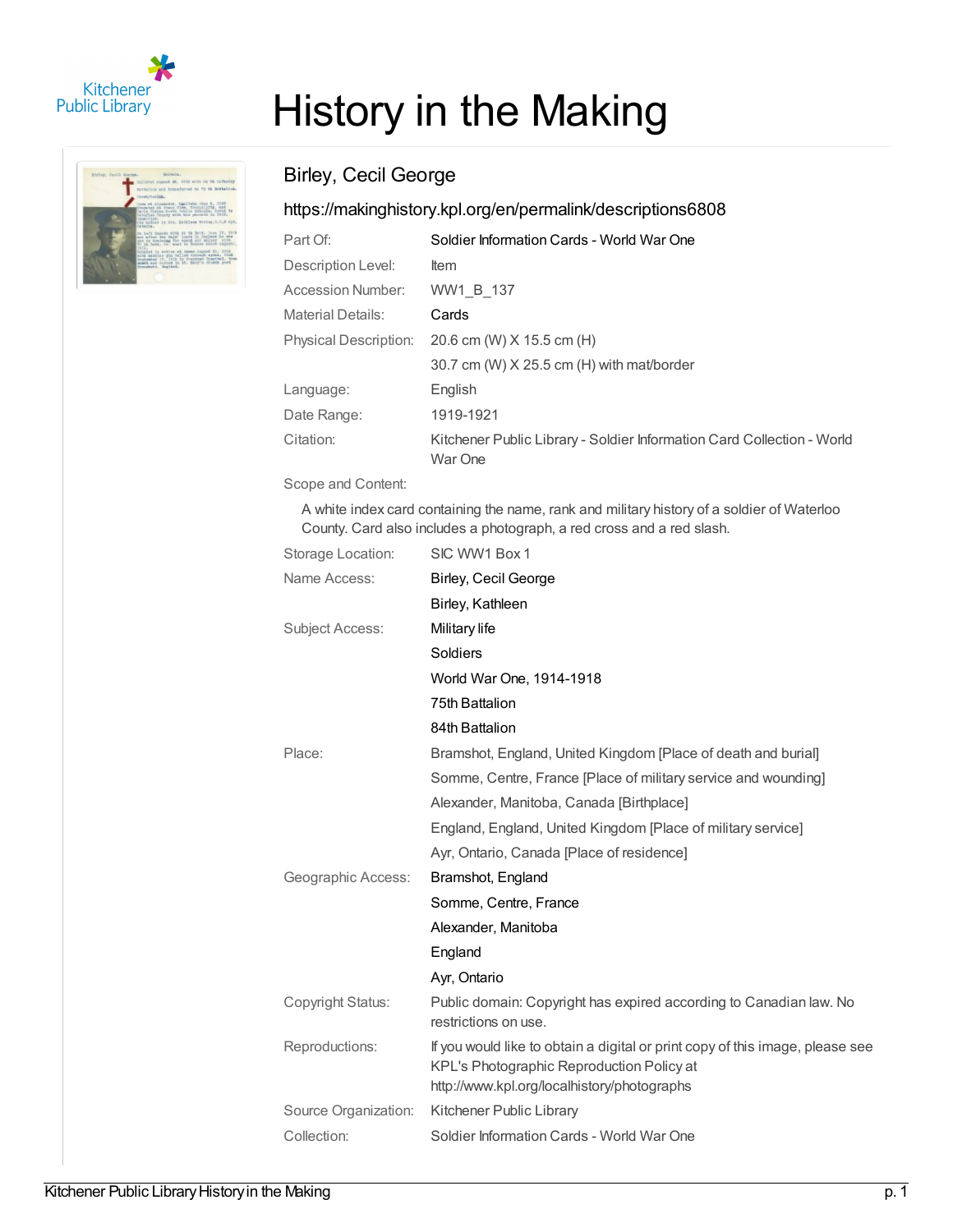

| hirler, ducil Source. | Britanna.                                                                                                                                                                                                                                                                                                                                                                                                                                                                                                                                                                                                                                                                                          |
|-----------------------|----------------------------------------------------------------------------------------------------------------------------------------------------------------------------------------------------------------------------------------------------------------------------------------------------------------------------------------------------------------------------------------------------------------------------------------------------------------------------------------------------------------------------------------------------------------------------------------------------------------------------------------------------------------------------------------------------|
|                       | inlined sures H. IHR with he th Infeater-                                                                                                                                                                                                                                                                                                                                                                                                                                                                                                                                                                                                                                                          |
|                       | Satislica and transferred to 75 th Dattailers.                                                                                                                                                                                                                                                                                                                                                                                                                                                                                                                                                                                                                                                     |
|                       | TreatyCordan.                                                                                                                                                                                                                                                                                                                                                                                                                                                                                                                                                                                                                                                                                      |
|                       | loss at Linksaler, Santiste Vice 8, 1998<br>Hosaiat at Irani filer, financillity, and<br>laris Haise Errik Julius Islonds, hoved to<br>interlan deurly with his sarests in 1912.<br>THERPY LAB .<br>the notice is tro. Esthlasm Birley, I. J.B Apr.<br>cutante:<br>the Left Commite with 64 19 Batch. June IV, INTS<br>and after two days' heavy in furiand he can<br>put is beataing for sound and sidney with<br>It ah have, in east to frame about dagast !<br>INIA.<br>Vousted in ochion at Deess Jaguat 21, 2939<br>with maintee guy telled through spins. Hied<br>Deptember 17, 1919 in Prensien Negotial, Bras<br>shafth and buyied in 25, 25, Barry's closeth years<br>Branshahl, Sagland, |

## History in the Making

## Birley, Cecil George

## <https://makinghistory.kpl.org/en/permalink/descriptions6808>

| Part Of:                     | Soldier Information Cards - World War One                                         |
|------------------------------|-----------------------------------------------------------------------------------|
| Description Level:           | Item                                                                              |
| Accession Number:            | WW1 B 137                                                                         |
| <b>Material Details:</b>     | Cards                                                                             |
| <b>Physical Description:</b> | 20.6 cm (W) X 15.5 cm (H)                                                         |
|                              | 30.7 cm (W) X 25.5 cm (H) with mat/border                                         |
| Language:                    | English                                                                           |
| Date Range:                  | 1919-1921                                                                         |
| Citation:                    | Kitchener Public Library - Soldier Information Card Collection - World<br>War One |

Scope and Content:

A white index card containing the name, rank and military history of a soldier of Waterloo County. Card also includes a photograph, a red cross and a red slash.

| Storage Location:    | SIC WW1 Box 1                                                                                                                                                             |
|----------------------|---------------------------------------------------------------------------------------------------------------------------------------------------------------------------|
| Name Access:         | Birley, Cecil George                                                                                                                                                      |
|                      | Birley, Kathleen                                                                                                                                                          |
| Subject Access:      | Military life                                                                                                                                                             |
|                      | Soldiers                                                                                                                                                                  |
|                      | World War One, 1914-1918                                                                                                                                                  |
|                      | 75th Battalion                                                                                                                                                            |
|                      | 84th Battalion                                                                                                                                                            |
| Place:               | Bramshot, England, United Kingdom [Place of death and burial]                                                                                                             |
|                      | Somme, Centre, France [Place of military service and wounding]                                                                                                            |
|                      | Alexander, Manitoba, Canada [Birthplace]                                                                                                                                  |
|                      | England, England, United Kingdom [Place of military service]                                                                                                              |
|                      | Ayr, Ontario, Canada [Place of residence]                                                                                                                                 |
| Geographic Access:   | Bramshot, England                                                                                                                                                         |
|                      | Somme, Centre, France                                                                                                                                                     |
|                      | Alexander, Manitoba                                                                                                                                                       |
|                      | England                                                                                                                                                                   |
|                      | Ayr, Ontario                                                                                                                                                              |
| Copyright Status:    | Public domain: Copyright has expired according to Canadian law. No<br>restrictions on use.                                                                                |
| Reproductions:       | If you would like to obtain a digital or print copy of this image, please see<br>KPL's Photographic Reproduction Policy at<br>http://www.kpl.org/localhistory/photographs |
| Source Organization: | Kitchener Public Library                                                                                                                                                  |
| Collection:          | Soldier Information Cards - World War One                                                                                                                                 |